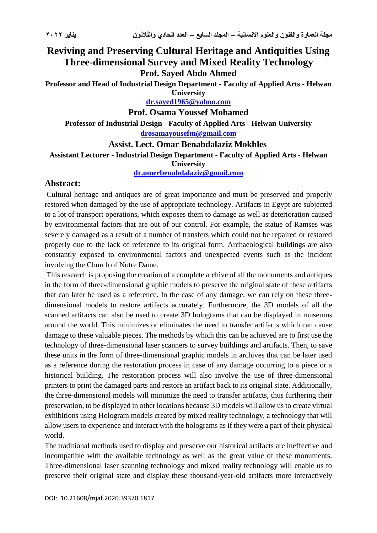# **Reviving and Preserving Cultural Heritage and Antiquities Using Three-dimensional Survey and Mixed Reality Technology Prof. Sayed Abdo Ahmed**

**Professor and Head of Industrial Design Department - Faculty of Applied Arts - Helwan University**

**[dr.sayed1965@yahoo.com](mailto:dr.sayed1965@yahoo.com)**

**Prof. Osama Youssef Mohamed**

**Professor of Industrial Design - Faculty of Applied Arts - Helwan University [drosamayousefm@gmail.com](mailto:drosamayousefm@gmail.com)**

**Assist. Lect. Omar Benabdalaziz Mokhles**

**Assistant Lecturer - Industrial Design Department - Faculty of Applied Arts - Helwan** 

**University**

**[dr.omerbenabdalaziz@gmail.com](mailto:dr.omerbenabdalaziz@gmail.com)**

### **Abstract:**

Cultural heritage and antiques are of great importance and must be preserved and properly restored when damaged by the use of appropriate technology. Artifacts in Egypt are subjected to a lot of transport operations, which exposes them to damage as well as deterioration caused by environmental factors that are out of our control. For example, the statue of Ramses was severely damaged as a result of a number of transfers which could not be repaired or restored properly due to the lack of reference to its original form. Archaeological buildings are also constantly exposed to environmental factors and unexpected events such as the incident involving the Church of Notre Dame.

This research is proposing the creation of a complete archive of all the monuments and antiques in the form of three-dimensional graphic models to preserve the original state of these artifacts that can later be used as a reference. In the case of any damage, we can rely on these threedimensional models to restore artifacts accurately. Furthermore, the 3D models of all the scanned artifacts can also be used to create 3D holograms that can be displayed in museums around the world. This minimizes or eliminates the need to transfer artifacts which can cause damage to these valuable pieces. The methods by which this can be achieved are to first use the technology of three-dimensional laser scanners to survey buildings and artifacts. Then, to save these units in the form of three-dimensional graphic models in archives that can be later used as a reference during the restoration process in case of any damage occurring to a piece or a historical building. The restoration process will also involve the use of three-dimensional printers to print the damaged parts and restore an artifact back to its original state. Additionally, the three-dimensional models will minimize the need to transfer artifacts, thus furthering their preservation, to be displayed in other locations because 3D models will allow us to create virtual exhibitions using Hologram models created by mixed reality technology, a technology that will allow users to experience and interact with the holograms as if they were a part of their physical world.

The traditional methods used to display and preserve our historical artifacts are ineffective and incompatible with the available technology as well as the great value of these monuments. Three-dimensional laser scanning technology and mixed reality technology will enable us to preserve their original state and display these thousand-year-old artifacts more interactively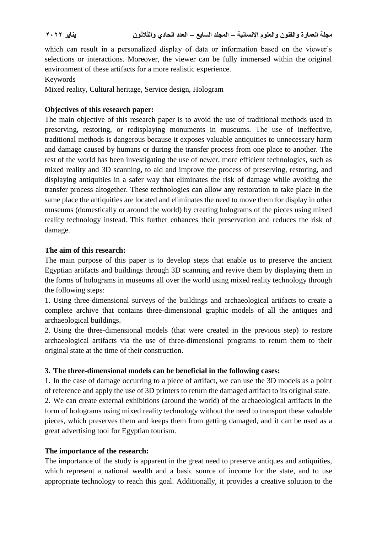which can result in a personalized display of data or information based on the viewer's selections or interactions. Moreover, the viewer can be fully immersed within the original environment of these artifacts for a more realistic experience.

Keywords

Mixed reality, Cultural heritage, Service design, Hologram

### **Objectives of this research paper:**

The main objective of this research paper is to avoid the use of traditional methods used in preserving, restoring, or redisplaying monuments in museums. The use of ineffective, traditional methods is dangerous because it exposes valuable antiquities to unnecessary harm and damage caused by humans or during the transfer process from one place to another. The rest of the world has been investigating the use of newer, more efficient technologies, such as mixed reality and 3D scanning, to aid and improve the process of preserving, restoring, and displaying antiquities in a safer way that eliminates the risk of damage while avoiding the transfer process altogether. These technologies can allow any restoration to take place in the same place the antiquities are located and eliminates the need to move them for display in other museums (domestically or around the world) by creating holograms of the pieces using mixed reality technology instead. This further enhances their preservation and reduces the risk of damage.

### **The aim of this research:**

The main purpose of this paper is to develop steps that enable us to preserve the ancient Egyptian artifacts and buildings through 3D scanning and revive them by displaying them in the forms of holograms in museums all over the world using mixed reality technology through the following steps:

1. Using three-dimensional surveys of the buildings and archaeological artifacts to create a complete archive that contains three-dimensional graphic models of all the antiques and archaeological buildings.

2. Using the three-dimensional models (that were created in the previous step) to restore archaeological artifacts via the use of three-dimensional programs to return them to their original state at the time of their construction.

### **3. The three-dimensional models can be beneficial in the following cases:**

1. In the case of damage occurring to a piece of artifact, we can use the 3D models as a point of reference and apply the use of 3D printers to return the damaged artifact to its original state. 2. We can create external exhibitions (around the world) of the archaeological artifacts in the form of holograms using mixed reality technology without the need to transport these valuable pieces, which preserves them and keeps them from getting damaged, and it can be used as a great advertising tool for Egyptian tourism.

### **The importance of the research:**

The importance of the study is apparent in the great need to preserve antiques and antiquities, which represent a national wealth and a basic source of income for the state, and to use appropriate technology to reach this goal. Additionally, it provides a creative solution to the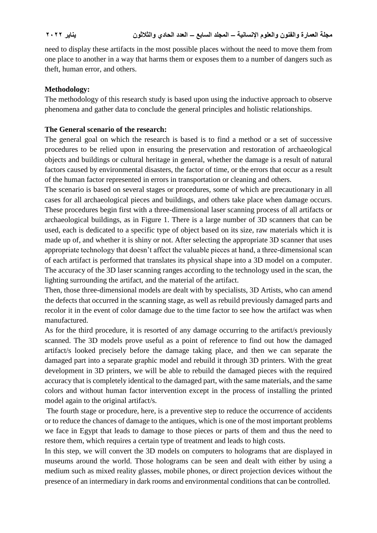need to display these artifacts in the most possible places without the need to move them from one place to another in a way that harms them or exposes them to a number of dangers such as theft, human error, and others.

### **Methodology:**

The methodology of this research study is based upon using the inductive approach to observe phenomena and gather data to conclude the general principles and holistic relationships.

### **The General scenario of the research:**

The general goal on which the research is based is to find a method or a set of successive procedures to be relied upon in ensuring the preservation and restoration of archaeological objects and buildings or cultural heritage in general, whether the damage is a result of natural factors caused by environmental disasters, the factor of time, or the errors that occur as a result of the human factor represented in errors in transportation or cleaning and others.

The scenario is based on several stages or procedures, some of which are precautionary in all cases for all archaeological pieces and buildings, and others take place when damage occurs. These procedures begin first with a three-dimensional laser scanning process of all artifacts or archaeological buildings, as in Figure 1. There is a large number of 3D scanners that can be used, each is dedicated to a specific type of object based on its size, raw materials which it is made up of, and whether it is shiny or not. After selecting the appropriate 3D scanner that uses appropriate technology that doesn't affect the valuable pieces at hand, a three-dimensional scan of each artifact is performed that translates its physical shape into a 3D model on a computer. The accuracy of the 3D laser scanning ranges according to the technology used in the scan, the lighting surrounding the artifact, and the material of the artifact.

Then, those three-dimensional models are dealt with by specialists, 3D Artists, who can amend the defects that occurred in the scanning stage, as well as rebuild previously damaged parts and recolor it in the event of color damage due to the time factor to see how the artifact was when manufactured.

As for the third procedure, it is resorted of any damage occurring to the artifact/s previously scanned. The 3D models prove useful as a point of reference to find out how the damaged artifact/s looked precisely before the damage taking place, and then we can separate the damaged part into a separate graphic model and rebuild it through 3D printers. With the great development in 3D printers, we will be able to rebuild the damaged pieces with the required accuracy that is completely identical to the damaged part, with the same materials, and the same colors and without human factor intervention except in the process of installing the printed model again to the original artifact/s.

The fourth stage or procedure, here, is a preventive step to reduce the occurrence of accidents or to reduce the chances of damage to the antiques, which is one of the most important problems we face in Egypt that leads to damage to those pieces or parts of them and thus the need to restore them, which requires a certain type of treatment and leads to high costs.

In this step, we will convert the 3D models on computers to holograms that are displayed in museums around the world. Those holograms can be seen and dealt with either by using a medium such as mixed reality glasses, mobile phones, or direct projection devices without the presence of an intermediary in dark rooms and environmental conditions that can be controlled.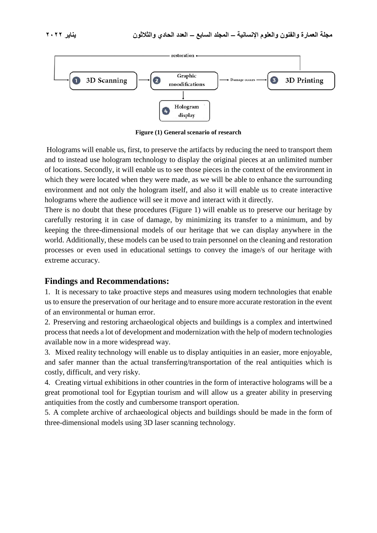



**Figure (1) General scenario of research**

Holograms will enable us, first, to preserve the artifacts by reducing the need to transport them and to instead use hologram technology to display the original pieces at an unlimited number of locations. Secondly, it will enable us to see those pieces in the context of the environment in which they were located when they were made, as we will be able to enhance the surrounding environment and not only the hologram itself, and also it will enable us to create interactive holograms where the audience will see it move and interact with it directly.

There is no doubt that these procedures (Figure 1) will enable us to preserve our heritage by carefully restoring it in case of damage, by minimizing its transfer to a minimum, and by keeping the three-dimensional models of our heritage that we can display anywhere in the world. Additionally, these models can be used to train personnel on the cleaning and restoration processes or even used in educational settings to convey the image/s of our heritage with extreme accuracy.

# **Findings and Recommendations:**

1. It is necessary to take proactive steps and measures using modern technologies that enable us to ensure the preservation of our heritage and to ensure more accurate restoration in the event of an environmental or human error.

2. Preserving and restoring archaeological objects and buildings is a complex and intertwined process that needs a lot of development and modernization with the help of modern technologies available now in a more widespread way.

3. Mixed reality technology will enable us to display antiquities in an easier, more enjoyable, and safer manner than the actual transferring/transportation of the real antiquities which is costly, difficult, and very risky.

4. Creating virtual exhibitions in other countries in the form of interactive holograms will be a great promotional tool for Egyptian tourism and will allow us a greater ability in preserving antiquities from the costly and cumbersome transport operation.

5. A complete archive of archaeological objects and buildings should be made in the form of three-dimensional models using 3D laser scanning technology.